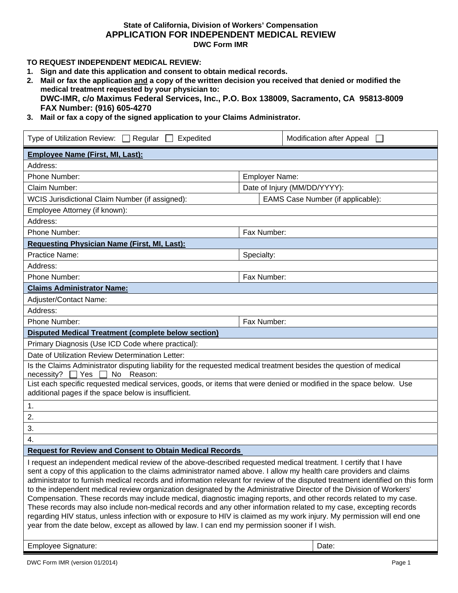#### **State of California, Division of Workers' Compensation APPLICATION FOR INDEPENDENT MEDICAL REVIEW DWC Form IMR**

# **TO REQUEST INDEPENDENT MEDICAL REVIEW:**

- **1. Sign and date this application and consent to obtain medical records.**
- **2. Mail or fax the application and a copy of the written decision you received that denied or modified the medical treatment requested by your physician to: DWC-IMR, c/o Maximus Federal Services, Inc., P.O. Box 138009, Sacramento, CA 95813-8009 FAX Number: (916) 605-4270**
- **3. Mail or fax a copy of the signed application to your Claims Administrator.**

| Type of Utilization Review: $\Box$ Regular $\Box$<br>Expedited                                                                                                                                                                                                                                                                                                                                                                                                                                                                                                                                                                                                                                                                                                                                                                                                                                                                                                              |                                   | Modification after Appeal |  |  |  |
|-----------------------------------------------------------------------------------------------------------------------------------------------------------------------------------------------------------------------------------------------------------------------------------------------------------------------------------------------------------------------------------------------------------------------------------------------------------------------------------------------------------------------------------------------------------------------------------------------------------------------------------------------------------------------------------------------------------------------------------------------------------------------------------------------------------------------------------------------------------------------------------------------------------------------------------------------------------------------------|-----------------------------------|---------------------------|--|--|--|
| <b>Employee Name (First, MI, Last):</b>                                                                                                                                                                                                                                                                                                                                                                                                                                                                                                                                                                                                                                                                                                                                                                                                                                                                                                                                     |                                   |                           |  |  |  |
| Address:                                                                                                                                                                                                                                                                                                                                                                                                                                                                                                                                                                                                                                                                                                                                                                                                                                                                                                                                                                    |                                   |                           |  |  |  |
| Phone Number:                                                                                                                                                                                                                                                                                                                                                                                                                                                                                                                                                                                                                                                                                                                                                                                                                                                                                                                                                               |                                   | <b>Employer Name:</b>     |  |  |  |
| Claim Number:                                                                                                                                                                                                                                                                                                                                                                                                                                                                                                                                                                                                                                                                                                                                                                                                                                                                                                                                                               | Date of Injury (MM/DD/YYYY):      |                           |  |  |  |
| WCIS Jurisdictional Claim Number (if assigned):                                                                                                                                                                                                                                                                                                                                                                                                                                                                                                                                                                                                                                                                                                                                                                                                                                                                                                                             | EAMS Case Number (if applicable): |                           |  |  |  |
| Employee Attorney (if known):                                                                                                                                                                                                                                                                                                                                                                                                                                                                                                                                                                                                                                                                                                                                                                                                                                                                                                                                               |                                   |                           |  |  |  |
| Address:                                                                                                                                                                                                                                                                                                                                                                                                                                                                                                                                                                                                                                                                                                                                                                                                                                                                                                                                                                    |                                   |                           |  |  |  |
| Phone Number:                                                                                                                                                                                                                                                                                                                                                                                                                                                                                                                                                                                                                                                                                                                                                                                                                                                                                                                                                               | Fax Number:                       |                           |  |  |  |
| <b>Requesting Physician Name (First, MI, Last):</b>                                                                                                                                                                                                                                                                                                                                                                                                                                                                                                                                                                                                                                                                                                                                                                                                                                                                                                                         |                                   |                           |  |  |  |
| Practice Name:                                                                                                                                                                                                                                                                                                                                                                                                                                                                                                                                                                                                                                                                                                                                                                                                                                                                                                                                                              | Specialty:                        |                           |  |  |  |
| Address:                                                                                                                                                                                                                                                                                                                                                                                                                                                                                                                                                                                                                                                                                                                                                                                                                                                                                                                                                                    |                                   |                           |  |  |  |
| Phone Number:                                                                                                                                                                                                                                                                                                                                                                                                                                                                                                                                                                                                                                                                                                                                                                                                                                                                                                                                                               | Fax Number:                       |                           |  |  |  |
| <b>Claims Administrator Name:</b>                                                                                                                                                                                                                                                                                                                                                                                                                                                                                                                                                                                                                                                                                                                                                                                                                                                                                                                                           |                                   |                           |  |  |  |
| Adjuster/Contact Name:                                                                                                                                                                                                                                                                                                                                                                                                                                                                                                                                                                                                                                                                                                                                                                                                                                                                                                                                                      |                                   |                           |  |  |  |
| Address:                                                                                                                                                                                                                                                                                                                                                                                                                                                                                                                                                                                                                                                                                                                                                                                                                                                                                                                                                                    |                                   |                           |  |  |  |
| Phone Number:                                                                                                                                                                                                                                                                                                                                                                                                                                                                                                                                                                                                                                                                                                                                                                                                                                                                                                                                                               | Fax Number:                       |                           |  |  |  |
| <b>Disputed Medical Treatment (complete below section)</b>                                                                                                                                                                                                                                                                                                                                                                                                                                                                                                                                                                                                                                                                                                                                                                                                                                                                                                                  |                                   |                           |  |  |  |
| Primary Diagnosis (Use ICD Code where practical):                                                                                                                                                                                                                                                                                                                                                                                                                                                                                                                                                                                                                                                                                                                                                                                                                                                                                                                           |                                   |                           |  |  |  |
| Date of Utilization Review Determination Letter:                                                                                                                                                                                                                                                                                                                                                                                                                                                                                                                                                                                                                                                                                                                                                                                                                                                                                                                            |                                   |                           |  |  |  |
| Is the Claims Administrator disputing liability for the requested medical treatment besides the question of medical<br><b>No</b><br>necessity?<br>$\sqsupset$ Yes<br>Reason:                                                                                                                                                                                                                                                                                                                                                                                                                                                                                                                                                                                                                                                                                                                                                                                                |                                   |                           |  |  |  |
| List each specific requested medical services, goods, or items that were denied or modified in the space below. Use<br>additional pages if the space below is insufficient.                                                                                                                                                                                                                                                                                                                                                                                                                                                                                                                                                                                                                                                                                                                                                                                                 |                                   |                           |  |  |  |
| 1.                                                                                                                                                                                                                                                                                                                                                                                                                                                                                                                                                                                                                                                                                                                                                                                                                                                                                                                                                                          |                                   |                           |  |  |  |
| 2.                                                                                                                                                                                                                                                                                                                                                                                                                                                                                                                                                                                                                                                                                                                                                                                                                                                                                                                                                                          |                                   |                           |  |  |  |
| 3.                                                                                                                                                                                                                                                                                                                                                                                                                                                                                                                                                                                                                                                                                                                                                                                                                                                                                                                                                                          |                                   |                           |  |  |  |
| 4.                                                                                                                                                                                                                                                                                                                                                                                                                                                                                                                                                                                                                                                                                                                                                                                                                                                                                                                                                                          |                                   |                           |  |  |  |
| <b>Request for Review and Consent to Obtain Medical Records</b>                                                                                                                                                                                                                                                                                                                                                                                                                                                                                                                                                                                                                                                                                                                                                                                                                                                                                                             |                                   |                           |  |  |  |
| I request an independent medical review of the above-described requested medical treatment. I certify that I have<br>sent a copy of this application to the claims administrator named above. I allow my health care providers and claims<br>administrator to furnish medical records and information relevant for review of the disputed treatment identified on this form<br>to the independent medical review organization designated by the Administrative Director of the Division of Workers'<br>Compensation. These records may include medical, diagnostic imaging reports, and other records related to my case.<br>These records may also include non-medical records and any other information related to my case, excepting records<br>regarding HIV status, unless infection with or exposure to HIV is claimed as my work injury. My permission will end one<br>year from the date below, except as allowed by law. I can end my permission sooner if I wish. |                                   |                           |  |  |  |
| Employee Signature:                                                                                                                                                                                                                                                                                                                                                                                                                                                                                                                                                                                                                                                                                                                                                                                                                                                                                                                                                         |                                   | Date:                     |  |  |  |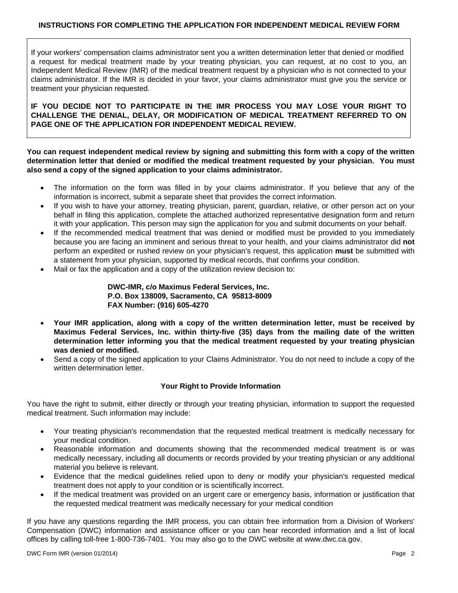# **INSTRUCTIONS FOR COMPLETING THE APPLICATION FOR INDEPENDENT MEDICAL REVIEW FORM**

If your workers' compensation claims administrator sent you a written determination letter that denied or modified a request for medical treatment made by your treating physician, you can request, at no cost to you, an Independent Medical Review (IMR) of the medical treatment request by a physician who is not connected to your claims administrator. If the IMR is decided in your favor, your claims administrator must give you the service or treatment your physician requested.

**IF YOU DECIDE NOT TO PARTICIPATE IN THE IMR PROCESS YOU MAY LOSE YOUR RIGHT TO CHALLENGE THE DENIAL, DELAY, OR MODIFICATION OF MEDICAL TREATMENT REFERRED TO ON PAGE ONE OF THE APPLICATION FOR INDEPENDENT MEDICAL REVIEW.** 

**You can request independent medical review by signing and submitting this form with a copy of the written determination letter that denied or modified the medical treatment requested by your physician. You must also send a copy of the signed application to your claims administrator.** 

- The information on the form was filled in by your claims administrator. If you believe that any of the information is incorrect, submit a separate sheet that provides the correct information.
- If you wish to have your attorney, treating physician, parent, guardian, relative, or other person act on your behalf in filing this application, complete the attached authorized representative designation form and return it with your application. This person may sign the application for you and submit documents on your behalf.
- If the recommended medical treatment that was denied or modified must be provided to you immediately because you are facing an imminent and serious threat to your health, and your claims administrator did **not** perform an expedited or rushed review on your physician's request, this application **must** be submitted with a statement from your physician, supported by medical records, that confirms your condition.
- Mail or fax the application and a copy of the utilization review decision to:

**DWC-IMR, c/o Maximus Federal Services, Inc. P.O. Box 138009, Sacramento, CA 95813-8009 FAX Number: (916) 605-4270** 

- **Your IMR application, along with a copy of the written determination letter, must be received by Maximus Federal Services, Inc. within thirty-five (35) days from the mailing date of the written determination letter informing you that the medical treatment requested by your treating physician was denied or modified.**
- Send a copy of the signed application to your Claims Administrator. You do not need to include a copy of the written determination letter.

#### **Your Right to Provide Information**

You have the right to submit, either directly or through your treating physician, information to support the requested medical treatment. Such information may include:

- Your treating physician's recommendation that the requested medical treatment is medically necessary for your medical condition.
- Reasonable information and documents showing that the recommended medical treatment is or was medically necessary, including all documents or records provided by your treating physician or any additional material you believe is relevant.
- Evidence that the medical guidelines relied upon to deny or modify your physician's requested medical treatment does not apply to your condition or is scientifically incorrect.
- If the medical treatment was provided on an urgent care or emergency basis, information or justification that the requested medical treatment was medically necessary for your medical condition

If you have any questions regarding the IMR process, you can obtain free information from a Division of Workers' Compensation (DWC) information and assistance officer or you can hear recorded information and a list of local offices by calling toll-free 1-800-736-7401. You may also go to the DWC website at www.dwc.ca.gov.